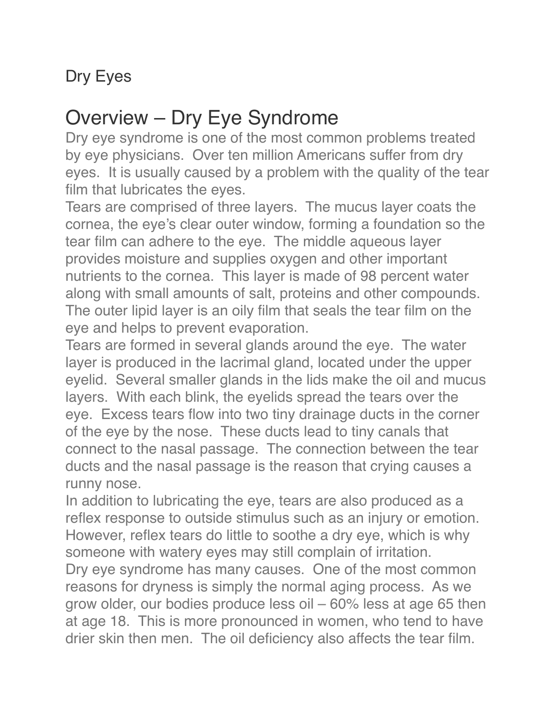#### Dry Eyes

### Overview – Dry Eye Syndrome

Dry eye syndrome is one of the most common problems treated by eye physicians. Over ten million Americans suffer from dry eyes. It is usually caused by a problem with the quality of the tear film that lubricates the eyes.

Tears are comprised of three layers. The mucus layer coats the cornea, the eye's clear outer window, forming a foundation so the tear film can adhere to the eye. The middle aqueous layer provides moisture and supplies oxygen and other important nutrients to the cornea. This layer is made of 98 percent water along with small amounts of salt, proteins and other compounds. The outer lipid layer is an oily film that seals the tear film on the eye and helps to prevent evaporation.

Tears are formed in several glands around the eye. The water layer is produced in the lacrimal gland, located under the upper eyelid. Several smaller glands in the lids make the oil and mucus layers. With each blink, the eyelids spread the tears over the eye. Excess tears flow into two tiny drainage ducts in the corner of the eye by the nose. These ducts lead to tiny canals that connect to the nasal passage. The connection between the tear ducts and the nasal passage is the reason that crying causes a runny nose.

In addition to lubricating the eye, tears are also produced as a reflex response to outside stimulus such as an injury or emotion. However, reflex tears do little to soothe a dry eye, which is why someone with watery eyes may still complain of irritation.

Dry eye syndrome has many causes. One of the most common reasons for dryness is simply the normal aging process. As we grow older, our bodies produce less oil – 60% less at age 65 then at age 18. This is more pronounced in women, who tend to have drier skin then men. The oil deficiency also affects the tear film.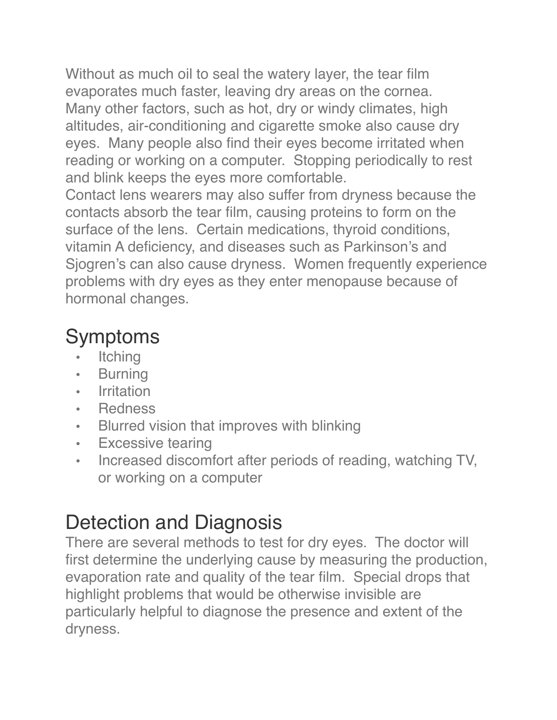Without as much oil to seal the watery layer, the tear film evaporates much faster, leaving dry areas on the cornea. Many other factors, such as hot, dry or windy climates, high altitudes, air-conditioning and cigarette smoke also cause dry eyes. Many people also find their eyes become irritated when reading or working on a computer. Stopping periodically to rest and blink keeps the eyes more comfortable.

Contact lens wearers may also suffer from dryness because the contacts absorb the tear film, causing proteins to form on the surface of the lens. Certain medications, thyroid conditions, vitamin A deficiency, and diseases such as Parkinson's and Sjogren's can also cause dryness. Women frequently experience problems with dry eyes as they enter menopause because of hormonal changes.

## Symptoms

- **Itching**
- **Burning**
- **Irritation**
- Redness
- Blurred vision that improves with blinking
- Excessive tearing
- Increased discomfort after periods of reading, watching TV, or working on a computer

# Detection and Diagnosis

There are several methods to test for dry eyes. The doctor will first determine the underlying cause by measuring the production, evaporation rate and quality of the tear film. Special drops that highlight problems that would be otherwise invisible are particularly helpful to diagnose the presence and extent of the dryness.